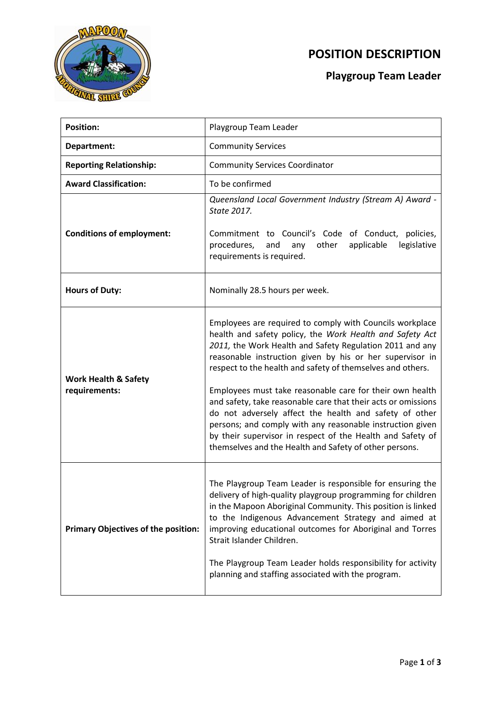

## **POSITION DESCRIPTION**

## **Playgroup Team Leader**

| <b>Position:</b>                                 | Playgroup Team Leader                                                                                                                                                                                                                                                                                                                                                                                                                                                                                                                                                                                                                                                                  |
|--------------------------------------------------|----------------------------------------------------------------------------------------------------------------------------------------------------------------------------------------------------------------------------------------------------------------------------------------------------------------------------------------------------------------------------------------------------------------------------------------------------------------------------------------------------------------------------------------------------------------------------------------------------------------------------------------------------------------------------------------|
| Department:                                      | <b>Community Services</b>                                                                                                                                                                                                                                                                                                                                                                                                                                                                                                                                                                                                                                                              |
| <b>Reporting Relationship:</b>                   | <b>Community Services Coordinator</b>                                                                                                                                                                                                                                                                                                                                                                                                                                                                                                                                                                                                                                                  |
| <b>Award Classification:</b>                     | To be confirmed                                                                                                                                                                                                                                                                                                                                                                                                                                                                                                                                                                                                                                                                        |
| <b>Conditions of employment:</b>                 | Queensland Local Government Industry (Stream A) Award -<br>State 2017.<br>Commitment to Council's Code of Conduct,<br>policies,<br>procedures,<br>other<br>legislative<br>and<br>any<br>applicable                                                                                                                                                                                                                                                                                                                                                                                                                                                                                     |
|                                                  | requirements is required.                                                                                                                                                                                                                                                                                                                                                                                                                                                                                                                                                                                                                                                              |
| <b>Hours of Duty:</b>                            | Nominally 28.5 hours per week.                                                                                                                                                                                                                                                                                                                                                                                                                                                                                                                                                                                                                                                         |
| <b>Work Health &amp; Safety</b><br>requirements: | Employees are required to comply with Councils workplace<br>health and safety policy, the Work Health and Safety Act<br>2011, the Work Health and Safety Regulation 2011 and any<br>reasonable instruction given by his or her supervisor in<br>respect to the health and safety of themselves and others.<br>Employees must take reasonable care for their own health<br>and safety, take reasonable care that their acts or omissions<br>do not adversely affect the health and safety of other<br>persons; and comply with any reasonable instruction given<br>by their supervisor in respect of the Health and Safety of<br>themselves and the Health and Safety of other persons. |
| Primary Objectives of the position:              | The Playgroup Team Leader is responsible for ensuring the<br>delivery of high-quality playgroup programming for children<br>in the Mapoon Aboriginal Community. This position is linked<br>to the Indigenous Advancement Strategy and aimed at<br>improving educational outcomes for Aboriginal and Torres<br>Strait Islander Children.<br>The Playgroup Team Leader holds responsibility for activity<br>planning and staffing associated with the program.                                                                                                                                                                                                                           |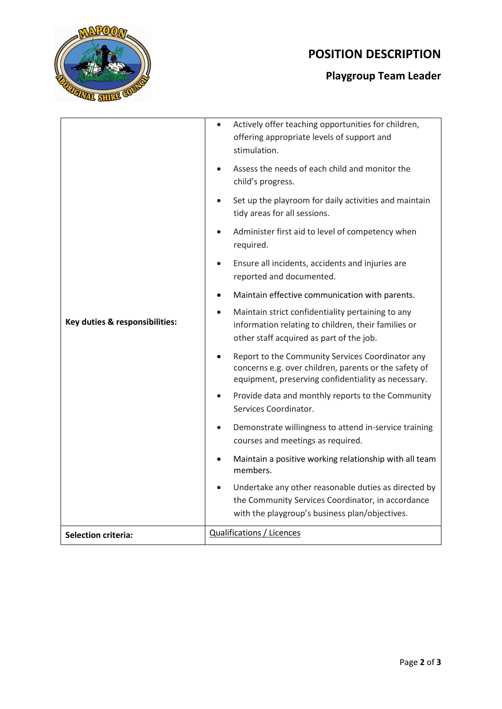

# **POSITION DESCRIPTION**

## **Playgroup Team Leader**

| Key duties & responsibilities: | Actively offer teaching opportunities for children,<br>$\bullet$<br>offering appropriate levels of support and<br>stimulation.                                   |
|--------------------------------|------------------------------------------------------------------------------------------------------------------------------------------------------------------|
|                                | Assess the needs of each child and monitor the<br>child's progress.                                                                                              |
|                                | Set up the playroom for daily activities and maintain<br>tidy areas for all sessions.                                                                            |
|                                | Administer first aid to level of competency when<br>required.                                                                                                    |
|                                | Ensure all incidents, accidents and injuries are<br>reported and documented.                                                                                     |
|                                | Maintain effective communication with parents.                                                                                                                   |
|                                | Maintain strict confidentiality pertaining to any<br>information relating to children, their families or<br>other staff acquired as part of the job.             |
|                                | Report to the Community Services Coordinator any<br>concerns e.g. over children, parents or the safety of<br>equipment, preserving confidentiality as necessary. |
|                                | Provide data and monthly reports to the Community<br>Services Coordinator.                                                                                       |
|                                | Demonstrate willingness to attend in-service training<br>courses and meetings as required.                                                                       |
|                                | Maintain a positive working relationship with all team<br>members.                                                                                               |
|                                | Undertake any other reasonable duties as directed by<br>the Community Services Coordinator, in accordance<br>with the playgroup's business plan/objectives.      |
| <b>Selection criteria:</b>     | <b>Qualifications / Licences</b>                                                                                                                                 |